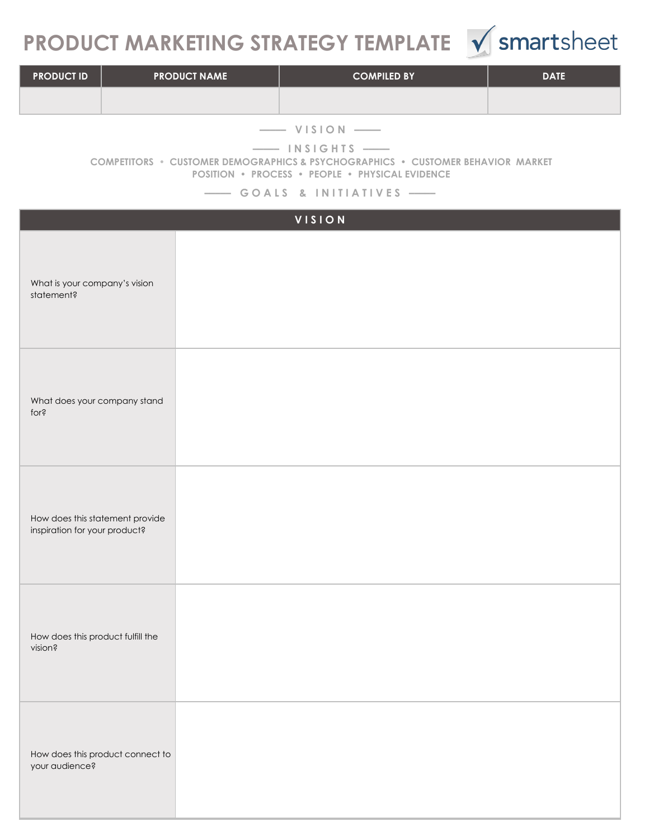## **PRODUCT MARKETING STRATEGY TEMPLATE**  $\sqrt{\ }$  smartsheet



| <b>PRODUCT ID</b> | <b>PRODUCT NAME</b> | <b>COMPILED BY</b> | <b>DATE</b> |
|-------------------|---------------------|--------------------|-------------|
|                   |                     |                    |             |

**––––– V I S I O N –––––**

**––––– I N S I G H T S –––––**

**COMPETITORS • CUSTOMER DEMOGRAPHICS & PSYCHOGRAPHICS • CUSTOMER BEHAVIOR MARKET POSITION • PROCESS • PEOPLE • PHYSICAL EVIDENCE**

**––––– G O A L S & I N I T I A T I V E S –––––**

| VISION                                                           |  |  |  |  |  |
|------------------------------------------------------------------|--|--|--|--|--|
| What is your company's vision<br>statement?                      |  |  |  |  |  |
| What does your company stand<br>for?                             |  |  |  |  |  |
| How does this statement provide<br>inspiration for your product? |  |  |  |  |  |
| How does this product fulfill the<br>vision?                     |  |  |  |  |  |
| How does this product connect to<br>your audience?               |  |  |  |  |  |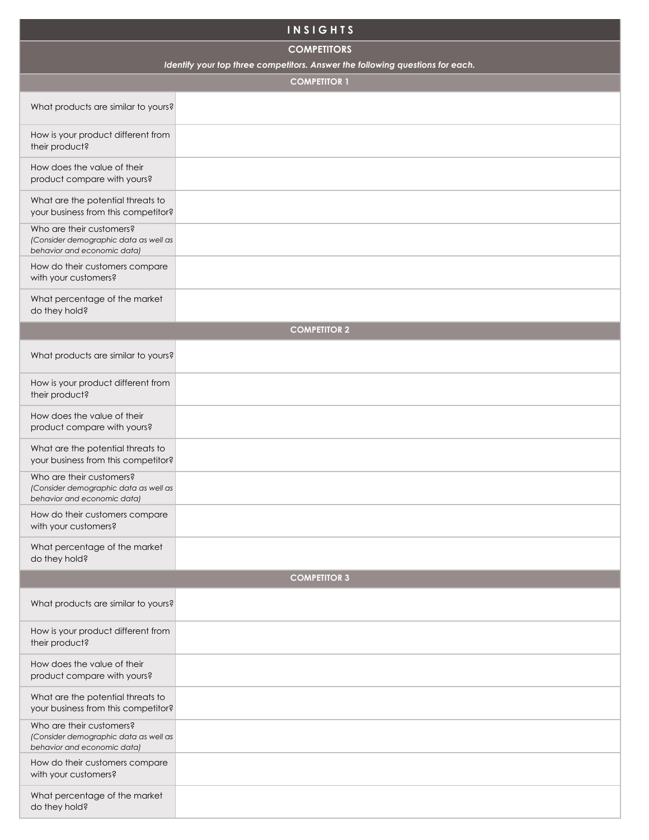| <b>INSIGHTS</b>                                                                                  |                                                                               |  |  |  |  |  |
|--------------------------------------------------------------------------------------------------|-------------------------------------------------------------------------------|--|--|--|--|--|
| <b>COMPETITORS</b>                                                                               |                                                                               |  |  |  |  |  |
|                                                                                                  | Identify your top three competitors. Answer the following questions for each. |  |  |  |  |  |
|                                                                                                  | <b>COMPETITOR 1</b>                                                           |  |  |  |  |  |
| What products are similar to yours?                                                              |                                                                               |  |  |  |  |  |
| How is your product different from<br>their product?                                             |                                                                               |  |  |  |  |  |
| How does the value of their<br>product compare with yours?                                       |                                                                               |  |  |  |  |  |
| What are the potential threats to<br>your business from this competitor?                         |                                                                               |  |  |  |  |  |
| Who are their customers?<br>(Consider demographic data as well as<br>behavior and economic data) |                                                                               |  |  |  |  |  |
| How do their customers compare<br>with your customers?                                           |                                                                               |  |  |  |  |  |
| What percentage of the market<br>do they hold?                                                   |                                                                               |  |  |  |  |  |
|                                                                                                  | <b>COMPETITOR 2</b>                                                           |  |  |  |  |  |
| What products are similar to yours?                                                              |                                                                               |  |  |  |  |  |
| How is your product different from<br>their product?                                             |                                                                               |  |  |  |  |  |
| How does the value of their<br>product compare with yours?                                       |                                                                               |  |  |  |  |  |
| What are the potential threats to<br>your business from this competitor?                         |                                                                               |  |  |  |  |  |
| Who are their customers?<br>(Consider demographic data as well as<br>behavior and economic data) |                                                                               |  |  |  |  |  |
| How do their customers compare<br>with your customers?                                           |                                                                               |  |  |  |  |  |
| What percentage of the market<br>do they hold?                                                   |                                                                               |  |  |  |  |  |
|                                                                                                  | <b>COMPETITOR 3</b>                                                           |  |  |  |  |  |
| What products are similar to yours?                                                              |                                                                               |  |  |  |  |  |
| How is your product different from<br>their product?                                             |                                                                               |  |  |  |  |  |
| How does the value of their<br>product compare with yours?                                       |                                                                               |  |  |  |  |  |
| What are the potential threats to<br>your business from this competitor?                         |                                                                               |  |  |  |  |  |
| Who are their customers?<br>(Consider demographic data as well as<br>behavior and economic data) |                                                                               |  |  |  |  |  |
| How do their customers compare<br>with your customers?                                           |                                                                               |  |  |  |  |  |
| What percentage of the market<br>do they hold?                                                   |                                                                               |  |  |  |  |  |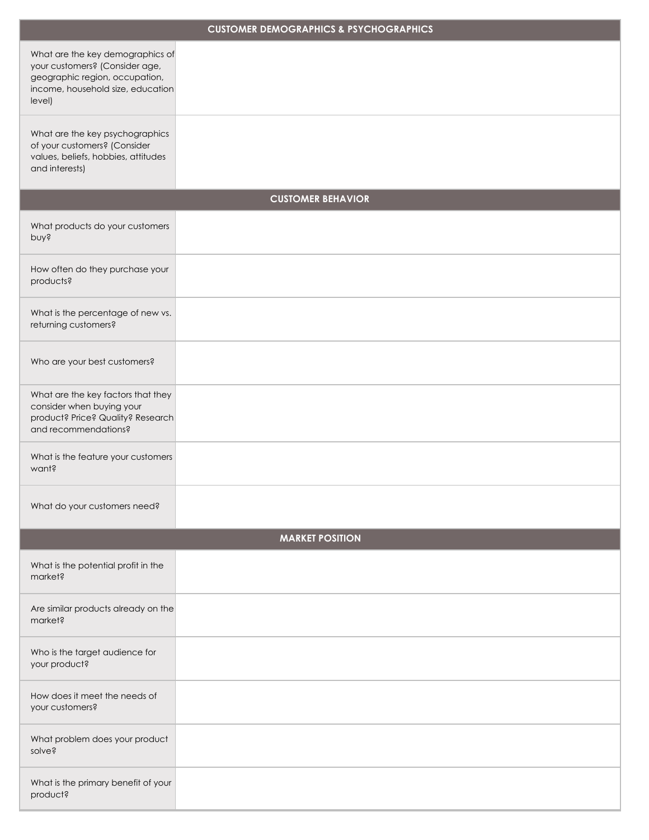| <b>CUSTOMER DEMOGRAPHICS &amp; PSYCHOGRAPHICS</b>                                                                                                   |                        |  |  |  |  |  |  |
|-----------------------------------------------------------------------------------------------------------------------------------------------------|------------------------|--|--|--|--|--|--|
| What are the key demographics of<br>your customers? (Consider age,<br>geographic region, occupation,<br>income, household size, education<br>level) |                        |  |  |  |  |  |  |
| What are the key psychographics<br>of your customers? (Consider<br>values, beliefs, hobbies, attitudes<br>and interests)                            |                        |  |  |  |  |  |  |
| <b>CUSTOMER BEHAVIOR</b>                                                                                                                            |                        |  |  |  |  |  |  |
| What products do your customers<br>pnys                                                                                                             |                        |  |  |  |  |  |  |
| How often do they purchase your<br>products?                                                                                                        |                        |  |  |  |  |  |  |
| What is the percentage of new vs.<br>returning customers?                                                                                           |                        |  |  |  |  |  |  |
| Who are your best customers?                                                                                                                        |                        |  |  |  |  |  |  |
| What are the key factors that they<br>consider when buying your<br>product? Price? Quality? Research<br>and recommendations?                        |                        |  |  |  |  |  |  |
| What is the feature your customers<br>want?                                                                                                         |                        |  |  |  |  |  |  |
| What do your customers need?                                                                                                                        |                        |  |  |  |  |  |  |
|                                                                                                                                                     | <b>MARKET POSITION</b> |  |  |  |  |  |  |
| What is the potential profit in the<br>market?                                                                                                      |                        |  |  |  |  |  |  |
| Are similar products already on the<br>market?                                                                                                      |                        |  |  |  |  |  |  |
| Who is the target audience for<br>your product?                                                                                                     |                        |  |  |  |  |  |  |
| How does it meet the needs of<br>your customers?                                                                                                    |                        |  |  |  |  |  |  |
| What problem does your product<br>solve?                                                                                                            |                        |  |  |  |  |  |  |
| What is the primary benefit of your<br>product?                                                                                                     |                        |  |  |  |  |  |  |